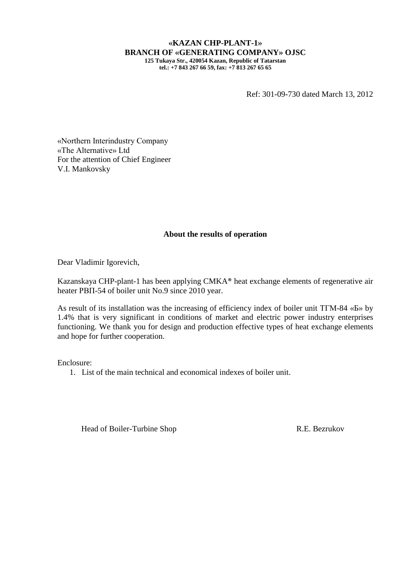## **«KAZAN CHP-PLANT-1» BRANCH OF «GENERATING COMPANY» OJSC 125 Tukaya Str., 420054 Kazan, Republic of Tatarstan**

**tel.: +7 843 267 66 59, fax: +7 813 267 65 65**

Ref: 301-09-730 dated March 13, 2012

«Northern Interindustry Company «The Alternative» Ltd For the attention of Chief Engineer V.I. Mankovsky

## **About the results of operation**

Dear Vladimir Igorevich,

Kazanskaya CHP-plant-1 has been applying CMKA® heat exchange elements of regenerative air heater РВП-54 of boiler unit No.9 since 2010 year.

As result of its installation was the increasing of efficiency index of boiler unit ТГМ-84 «Б» by 1.4% that is very significant in conditions of market and electric power industry enterprises functioning. We thank you for design and production effective types of heat exchange elements and hope for further cooperation.

Enclosure:

1. List of the main technical and economical indexes of boiler unit.

Head of Boiler-Turbine Shop R.E. Bezrukov